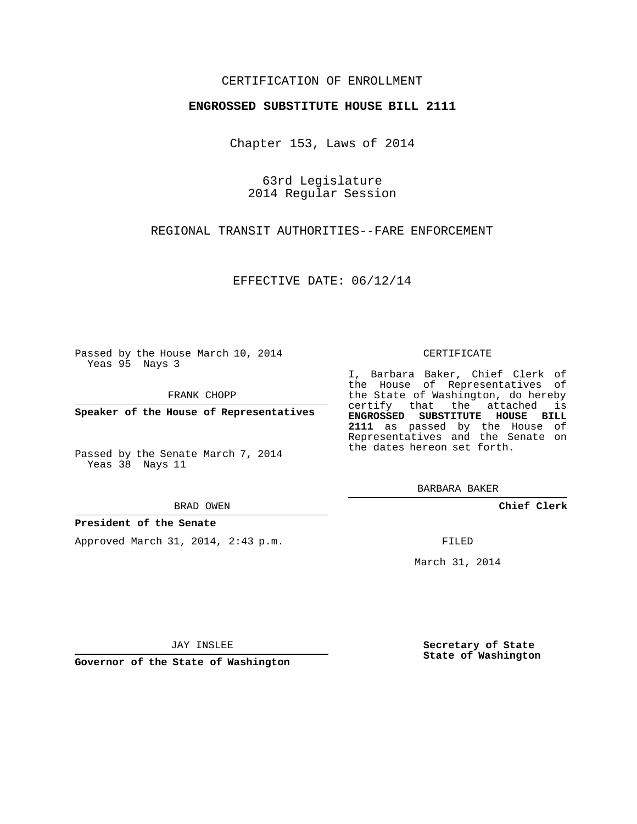# CERTIFICATION OF ENROLLMENT

## **ENGROSSED SUBSTITUTE HOUSE BILL 2111**

Chapter 153, Laws of 2014

63rd Legislature 2014 Regular Session

REGIONAL TRANSIT AUTHORITIES--FARE ENFORCEMENT

EFFECTIVE DATE: 06/12/14

Passed by the House March 10, 2014 Yeas 95 Nays 3

FRANK CHOPP

**Speaker of the House of Representatives**

Passed by the Senate March 7, 2014 Yeas 38 Nays 11

BRAD OWEN

## **President of the Senate**

Approved March 31, 2014, 2:43 p.m.

#### CERTIFICATE

I, Barbara Baker, Chief Clerk of the House of Representatives of the State of Washington, do hereby certify that the attached is **ENGROSSED SUBSTITUTE HOUSE BILL 2111** as passed by the House of Representatives and the Senate on the dates hereon set forth.

BARBARA BAKER

**Chief Clerk**

FILED

March 31, 2014

JAY INSLEE

**Governor of the State of Washington**

**Secretary of State State of Washington**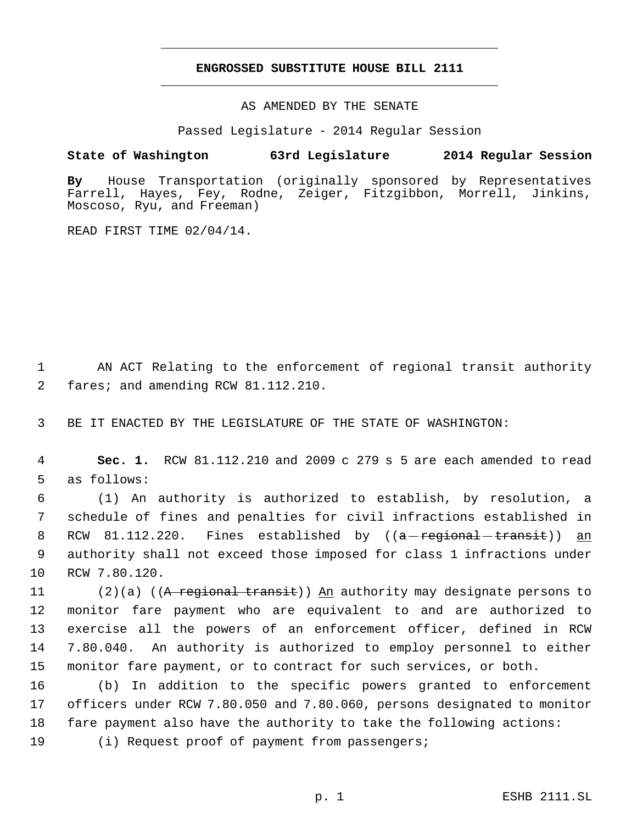# **ENGROSSED SUBSTITUTE HOUSE BILL 2111** \_\_\_\_\_\_\_\_\_\_\_\_\_\_\_\_\_\_\_\_\_\_\_\_\_\_\_\_\_\_\_\_\_\_\_\_\_\_\_\_\_\_\_\_\_

\_\_\_\_\_\_\_\_\_\_\_\_\_\_\_\_\_\_\_\_\_\_\_\_\_\_\_\_\_\_\_\_\_\_\_\_\_\_\_\_\_\_\_\_\_

AS AMENDED BY THE SENATE

Passed Legislature - 2014 Regular Session

# **State of Washington 63rd Legislature 2014 Regular Session**

**By** House Transportation (originally sponsored by Representatives Farrell, Hayes, Fey, Rodne, Zeiger, Fitzgibbon, Morrell, Jinkins, Moscoso, Ryu, and Freeman)

READ FIRST TIME 02/04/14.

 1 AN ACT Relating to the enforcement of regional transit authority 2 fares; and amending RCW 81.112.210.

3 BE IT ENACTED BY THE LEGISLATURE OF THE STATE OF WASHINGTON:

 4 **Sec. 1.** RCW 81.112.210 and 2009 c 279 s 5 are each amended to read 5 as follows:

 (1) An authority is authorized to establish, by resolution, a schedule of fines and penalties for civil infractions established in 8 RCW 81.112.220. Fines established by ((<del>a regional transit</del>)) an authority shall not exceed those imposed for class 1 infractions under RCW 7.80.120.

11 (2)(a) ((A regional transit)) An authority may designate persons to monitor fare payment who are equivalent to and are authorized to exercise all the powers of an enforcement officer, defined in RCW 7.80.040. An authority is authorized to employ personnel to either monitor fare payment, or to contract for such services, or both.

16 (b) In addition to the specific powers granted to enforcement 17 officers under RCW 7.80.050 and 7.80.060, persons designated to monitor 18 fare payment also have the authority to take the following actions:

19 (i) Request proof of payment from passengers;